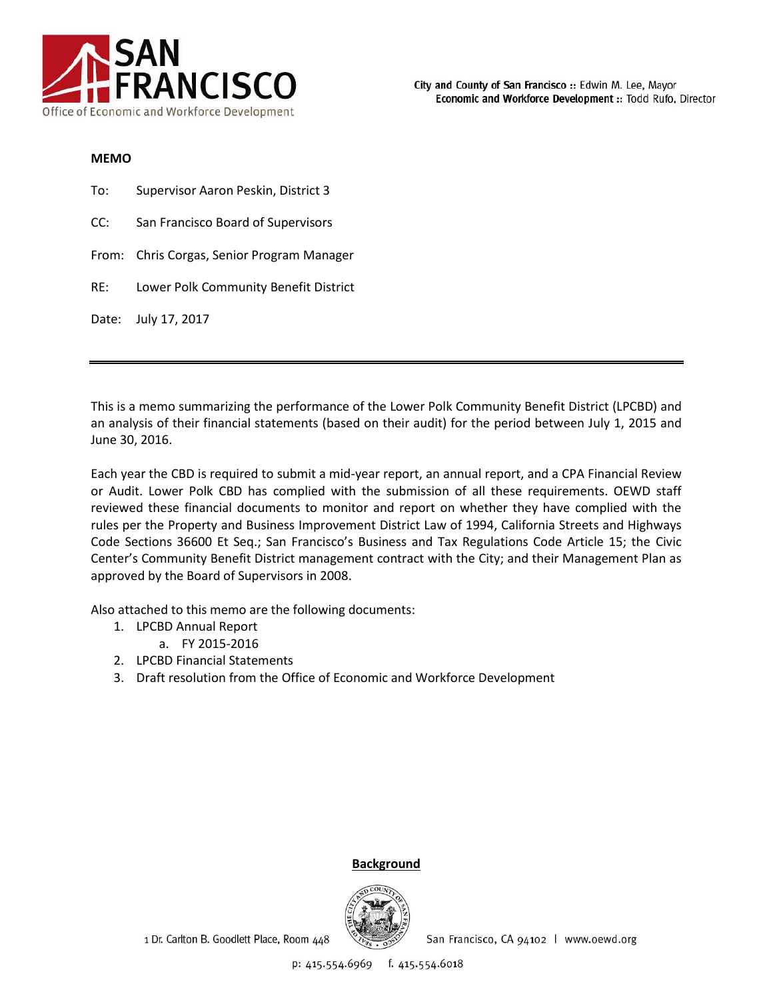

#### **MEMO**

| To: | Supervisor Aaron Peskin, District 3        |
|-----|--------------------------------------------|
| CC: | San Francisco Board of Supervisors         |
|     | From: Chris Corgas, Senior Program Manager |
| RE: | Lower Polk Community Benefit District      |
|     | Date: July 17, 2017                        |

This is a memo summarizing the performance of the Lower Polk Community Benefit District (LPCBD) and an analysis of their financial statements (based on their audit) for the period between July 1, 2015 and June 30, 2016.

Each year the CBD is required to submit a mid-year report, an annual report, and a CPA Financial Review or Audit. Lower Polk CBD has complied with the submission of all these requirements. OEWD staff reviewed these financial documents to monitor and report on whether they have complied with the rules per the Property and Business Improvement District Law of 1994, California Streets and Highways Code Sections 36600 Et Seq.; San Francisco's Business and Tax Regulations Code Article 15; the Civic Center's Community Benefit District management contract with the City; and their Management Plan as approved by the Board of Supervisors in 2008.

Also attached to this memo are the following documents:

- 1. LPCBD Annual Report
	- a. FY 2015-2016
- 2. LPCBD Financial Statements
- 3. Draft resolution from the Office of Economic and Workforce Development

## **Background**

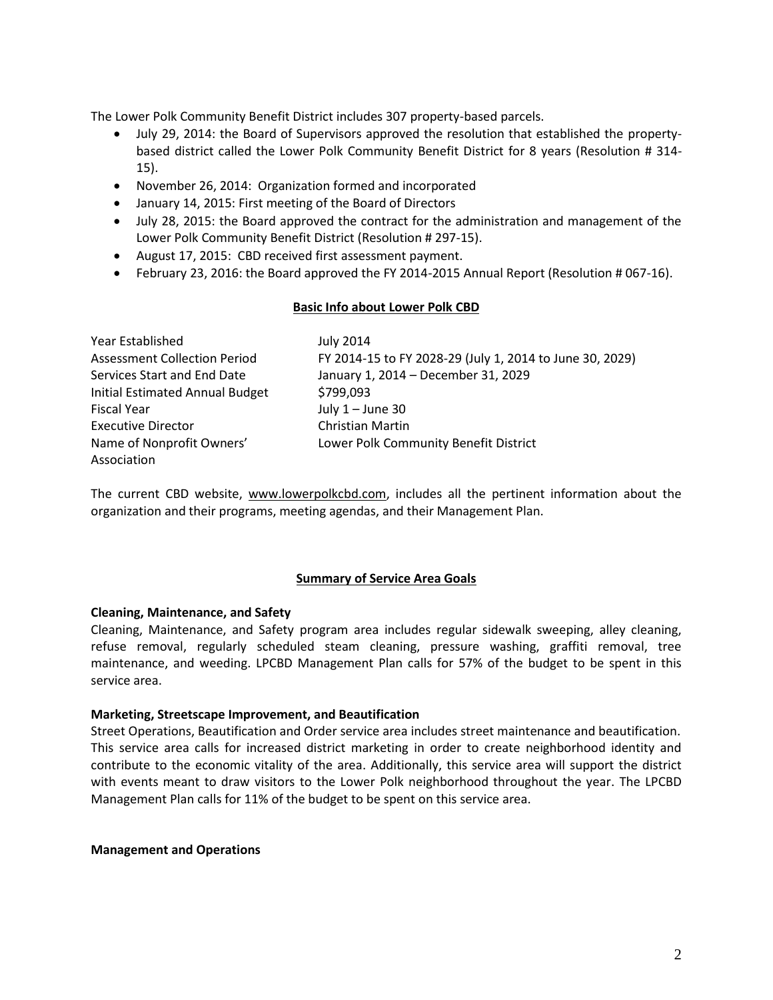The Lower Polk Community Benefit District includes 307 property-based parcels.

- July 29, 2014: the Board of Supervisors approved the resolution that established the propertybased district called the Lower Polk Community Benefit District for 8 years (Resolution # 314- 15).
- November 26, 2014: Organization formed and incorporated
- January 14, 2015: First meeting of the Board of Directors
- July 28, 2015: the Board approved the contract for the administration and management of the Lower Polk Community Benefit District (Resolution # 297-15).
- August 17, 2015: CBD received first assessment payment.
- February 23, 2016: the Board approved the FY 2014-2015 Annual Report (Resolution # 067-16).

#### **Basic Info about Lower Polk CBD**

| Year Established                       | <b>July 2014</b>                                         |
|----------------------------------------|----------------------------------------------------------|
| <b>Assessment Collection Period</b>    | FY 2014-15 to FY 2028-29 (July 1, 2014 to June 30, 2029) |
| Services Start and End Date            | January 1, 2014 - December 31, 2029                      |
| <b>Initial Estimated Annual Budget</b> | \$799,093                                                |
| <b>Fiscal Year</b>                     | July $1 -$ June 30                                       |
| <b>Executive Director</b>              | <b>Christian Martin</b>                                  |
| Name of Nonprofit Owners'              | Lower Polk Community Benefit District                    |
| Association                            |                                                          |

The current CBD website, www.lowerpolkcbd.com, includes all the pertinent information about the organization and their programs, meeting agendas, and their Management Plan.

## **Summary of Service Area Goals**

## **Cleaning, Maintenance, and Safety**

Cleaning, Maintenance, and Safety program area includes regular sidewalk sweeping, alley cleaning, refuse removal, regularly scheduled steam cleaning, pressure washing, graffiti removal, tree maintenance, and weeding. LPCBD Management Plan calls for 57% of the budget to be spent in this service area.

#### **Marketing, Streetscape Improvement, and Beautification**

Street Operations, Beautification and Order service area includes street maintenance and beautification. This service area calls for increased district marketing in order to create neighborhood identity and contribute to the economic vitality of the area. Additionally, this service area will support the district with events meant to draw visitors to the Lower Polk neighborhood throughout the year. The LPCBD Management Plan calls for 11% of the budget to be spent on this service area.

**Management and Operations**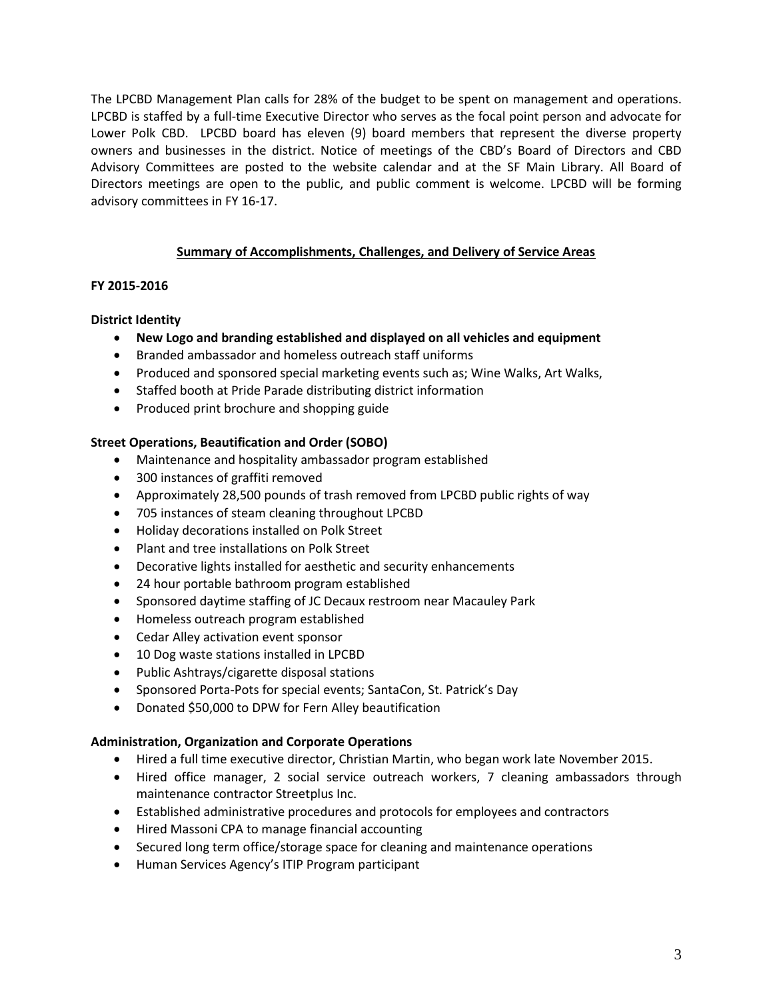The LPCBD Management Plan calls for 28% of the budget to be spent on management and operations. LPCBD is staffed by a full-time Executive Director who serves as the focal point person and advocate for Lower Polk CBD. LPCBD board has eleven (9) board members that represent the diverse property owners and businesses in the district. Notice of meetings of the CBD's Board of Directors and CBD Advisory Committees are posted to the website calendar and at the SF Main Library. All Board of Directors meetings are open to the public, and public comment is welcome. LPCBD will be forming advisory committees in FY 16-17.

## **Summary of Accomplishments, Challenges, and Delivery of Service Areas**

## **FY 2015-2016**

## **District Identity**

- **New Logo and branding established and displayed on all vehicles and equipment**
- Branded ambassador and homeless outreach staff uniforms
- Produced and sponsored special marketing events such as; Wine Walks, Art Walks,
- Staffed booth at Pride Parade distributing district information
- Produced print brochure and shopping guide

## **Street Operations, Beautification and Order (SOBO)**

- Maintenance and hospitality ambassador program established
- 300 instances of graffiti removed
- Approximately 28,500 pounds of trash removed from LPCBD public rights of way
- 705 instances of steam cleaning throughout LPCBD
- Holiday decorations installed on Polk Street
- Plant and tree installations on Polk Street
- Decorative lights installed for aesthetic and security enhancements
- 24 hour portable bathroom program established
- Sponsored daytime staffing of JC Decaux restroom near Macauley Park
- Homeless outreach program established
- Cedar Alley activation event sponsor
- 10 Dog waste stations installed in LPCBD
- Public Ashtrays/cigarette disposal stations
- Sponsored Porta-Pots for special events; SantaCon, St. Patrick's Day
- Donated \$50,000 to DPW for Fern Alley beautification

## **Administration, Organization and Corporate Operations**

- Hired a full time executive director, Christian Martin, who began work late November 2015.
- Hired office manager, 2 social service outreach workers, 7 cleaning ambassadors through maintenance contractor Streetplus Inc.
- Established administrative procedures and protocols for employees and contractors
- Hired Massoni CPA to manage financial accounting
- Secured long term office/storage space for cleaning and maintenance operations
- Human Services Agency's ITIP Program participant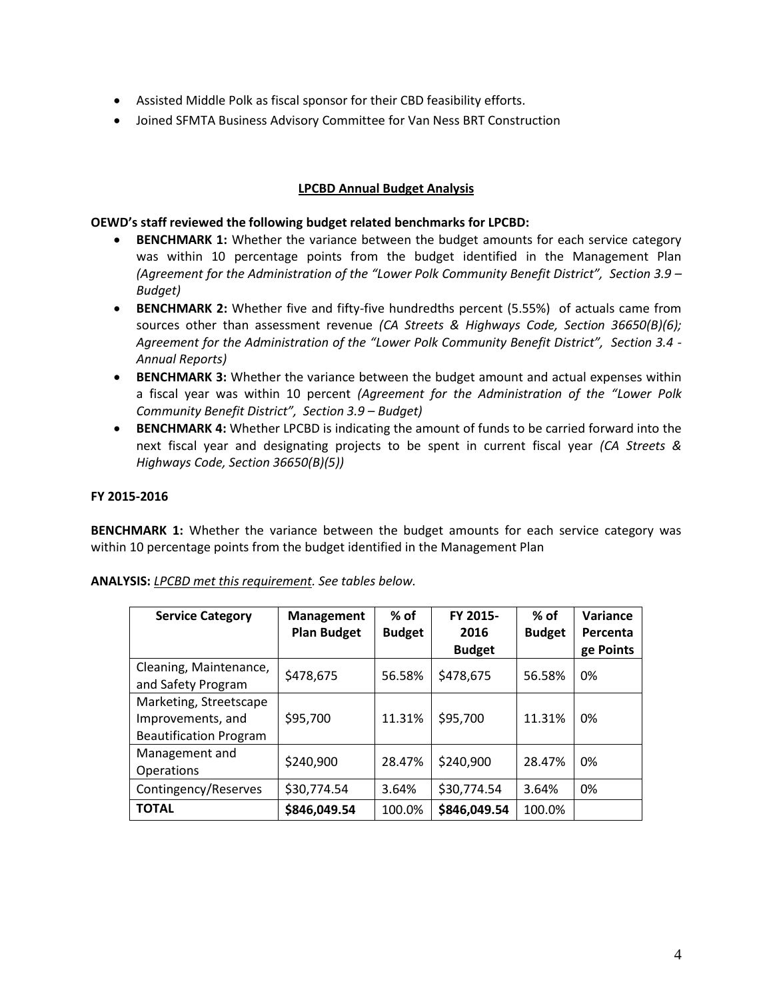- Assisted Middle Polk as fiscal sponsor for their CBD feasibility efforts.
- Joined SFMTA Business Advisory Committee for Van Ness BRT Construction

# **LPCBD Annual Budget Analysis**

## **OEWD's staff reviewed the following budget related benchmarks for LPCBD:**

- **BENCHMARK 1:** Whether the variance between the budget amounts for each service category was within 10 percentage points from the budget identified in the Management Plan *(Agreement for the Administration of the "Lower Polk Community Benefit District", Section 3.9 – Budget)*
- **BENCHMARK 2:** Whether five and fifty-five hundredths percent (5.55%) of actuals came from sources other than assessment revenue *(CA Streets & Highways Code, Section 36650(B)(6); Agreement for the Administration of the "Lower Polk Community Benefit District", Section 3.4 - Annual Reports)*
- **BENCHMARK 3:** Whether the variance between the budget amount and actual expenses within a fiscal year was within 10 percent *(Agreement for the Administration of the "Lower Polk Community Benefit District", Section 3.9 – Budget)*
- **BENCHMARK 4:** Whether LPCBD is indicating the amount of funds to be carried forward into the next fiscal year and designating projects to be spent in current fiscal year *(CA Streets & Highways Code, Section 36650(B)(5))*

## **FY 2015-2016**

**BENCHMARK 1:** Whether the variance between the budget amounts for each service category was within 10 percentage points from the budget identified in the Management Plan

| <b>Service Category</b>                                                      | <b>Management</b><br><b>Plan Budget</b> | $%$ of<br><b>Budget</b> | FY 2015-<br>2016<br><b>Budget</b> | $%$ of<br><b>Budget</b> | Variance<br>Percenta<br>ge Points |
|------------------------------------------------------------------------------|-----------------------------------------|-------------------------|-----------------------------------|-------------------------|-----------------------------------|
| Cleaning, Maintenance,<br>and Safety Program                                 | \$478,675                               | 56.58%                  | \$478,675                         | 56.58%                  | 0%                                |
| Marketing, Streetscape<br>Improvements, and<br><b>Beautification Program</b> | \$95,700                                | 11.31%                  | \$95,700                          | 11.31%                  | 0%                                |
| Management and<br><b>Operations</b>                                          | \$240,900                               | 28.47%                  | \$240,900                         | 28.47%                  | 0%                                |
| Contingency/Reserves                                                         | \$30,774.54                             | 3.64%                   | \$30,774.54                       | 3.64%                   | 0%                                |
| <b>TOTAL</b>                                                                 | \$846,049.54                            | 100.0%                  | \$846,049.54                      | 100.0%                  |                                   |

**ANALYSIS:** *LPCBD met this requirement. See tables below.*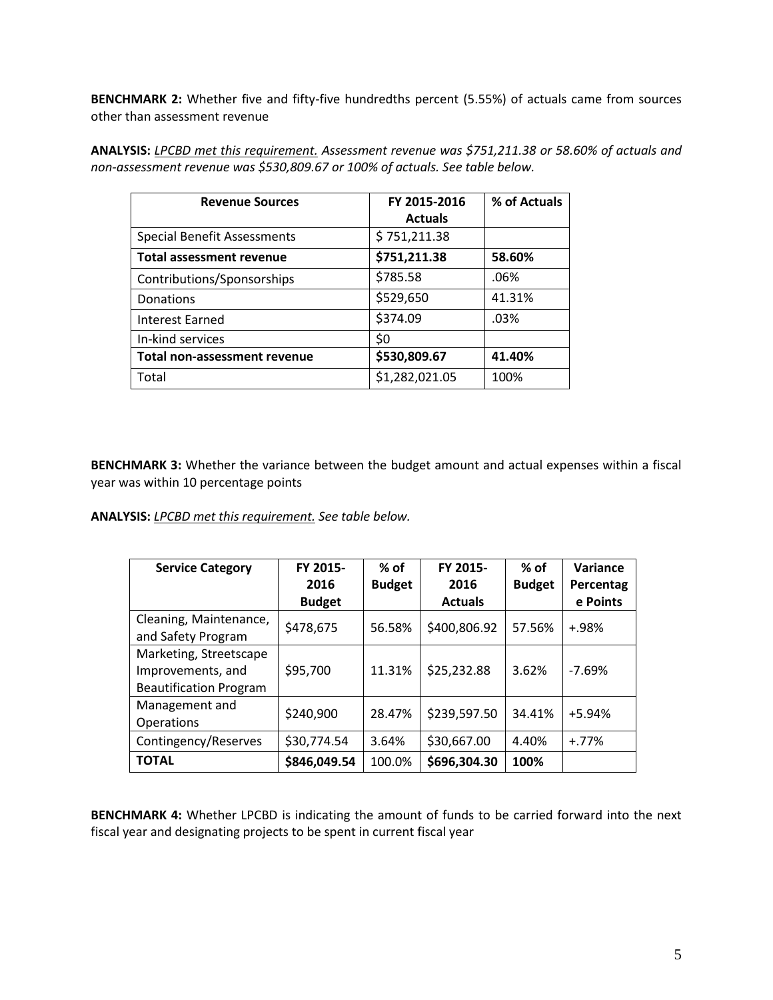**BENCHMARK 2:** Whether five and fifty-five hundredths percent (5.55%) of actuals came from sources other than assessment revenue

**ANALYSIS:** *LPCBD met this requirement. Assessment revenue was \$751,211.38 or 58.60% of actuals and non-assessment revenue was \$530,809.67 or 100% of actuals. See table below.*

| <b>Revenue Sources</b>              | FY 2015-2016   | % of Actuals |
|-------------------------------------|----------------|--------------|
|                                     | <b>Actuals</b> |              |
| <b>Special Benefit Assessments</b>  | \$751,211.38   |              |
| <b>Total assessment revenue</b>     | \$751,211.38   | 58.60%       |
| Contributions/Sponsorships          | \$785.58       | .06%         |
| Donations                           | \$529,650      | 41.31%       |
| <b>Interest Earned</b>              | \$374.09       | .03%         |
| In-kind services                    | \$0            |              |
| <b>Total non-assessment revenue</b> | \$530,809.67   | 41.40%       |
| Total                               | \$1,282,021.05 | 100%         |

**BENCHMARK 3:** Whether the variance between the budget amount and actual expenses within a fiscal year was within 10 percentage points

**ANALYSIS:** *LPCBD met this requirement. See table below.*

| <b>Service Category</b>       | FY 2015-      | $%$ of        | FY 2015-       | $%$ of        | Variance  |
|-------------------------------|---------------|---------------|----------------|---------------|-----------|
|                               | 2016          | <b>Budget</b> | 2016           | <b>Budget</b> | Percentag |
|                               | <b>Budget</b> |               | <b>Actuals</b> |               | e Points  |
| Cleaning, Maintenance,        | \$478,675     | 56.58%        | \$400,806.92   | 57.56%        | $+.98%$   |
| and Safety Program            |               |               |                |               |           |
| Marketing, Streetscape        |               |               |                |               |           |
| Improvements, and             | \$95,700      | 11.31%        | \$25,232.88    | 3.62%         | $-7.69%$  |
| <b>Beautification Program</b> |               |               |                |               |           |
| Management and                | \$240,900     | 28.47%        | \$239,597.50   | 34.41%        | +5.94%    |
| <b>Operations</b>             |               |               |                |               |           |
| Contingency/Reserves          | \$30,774.54   | 3.64%         | \$30,667.00    | 4.40%         | $+.77\%$  |
| <b>TOTAL</b>                  | \$846,049.54  | 100.0%        | \$696,304.30   | 100%          |           |

**BENCHMARK 4:** Whether LPCBD is indicating the amount of funds to be carried forward into the next fiscal year and designating projects to be spent in current fiscal year